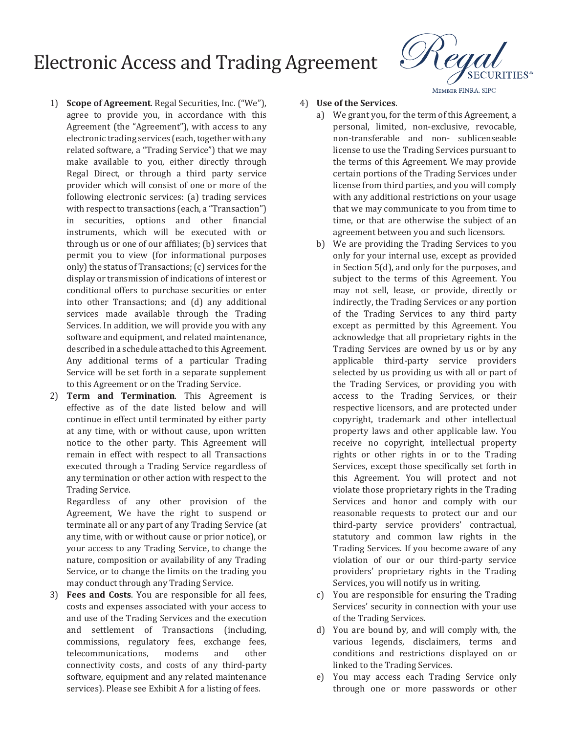## **Electronic Access and Trading Agreement**

- 1) **Scope of Agreement**. Regal Securities, Inc. ("We"), agree to provide you, in accordance with this Agreement (the "Agreement"), with access to any electronic trading services (each, together with any related software, a "Trading Service") that we may make available to you, either directly through Regal Direct, or through a third party service provider which will consist of one or more of the following electronic services: (a) trading services with respect to transactions (each, a "Transaction") in securities, options and other financial instruments, which will be executed with or through us or one of our affiliates; (b) services that permit you to view (for informational purposes only) the status of Transactions; (c) services for the display or transmission of indications of interest or conditional offers to purchase securities or enter into other Transactions; and (d) any additional services made available through the Trading Services. In addition, we will provide you with any software and equipment, and related maintenance, described in a schedule attached to this Agreement. Any additional terms of a particular Trading Service will be set forth in a separate supplement to this Agreement or on the Trading Service.
- 2) **Term and Termination**. This Agreement is effective as of the date listed below and will continue in effect until terminated by either party at any time, with or without cause, upon written notice to the other party. This Agreement will remain in effect with respect to all Transactions executed through a Trading Service regardless of any termination or other action with respect to the Trading Service.

Regardless of any other provision of the Agreement, We have the right to suspend or terminate all or any part of any Trading Service (at any time, with or without cause or prior notice), or your access to any Trading Service, to change the nature, composition or availability of any Trading Service, or to change the limits on the trading you may conduct through any Trading Service.

3) **Fees and Costs**. You are responsible for all fees, costs and expenses associated with your access to and use of the Trading Services and the execution and settlement of Transactions (including, commissions, regulatory fees, exchange fees, telecommunications, modems and other connectivity costs, and costs of any third-party software, equipment and any related maintenance services). Please see Exhibit A for a listing of fees.

#### 4) Use of the Services.

- a) We grant you, for the term of this Agreement, a personal, limited, non-exclusive, revocable, non-transferable and non- sublicenseable license to use the Trading Services pursuant to the terms of this Agreement. We may provide certain portions of the Trading Services under license from third parties, and you will comply with any additional restrictions on your usage that we may communicate to you from time to time, or that are otherwise the subject of an agreement between you and such licensors.
- b) We are providing the Trading Services to you only for your internal use, except as provided in Section 5(d), and only for the purposes, and subject to the terms of this Agreement. You may not sell, lease, or provide, directly or indirectly, the Trading Services or any portion of the Trading Services to any third party except as permitted by this Agreement. You acknowledge that all proprietary rights in the Trading Services are owned by us or by any applicable third-party service providers selected by us providing us with all or part of the Trading Services, or providing you with access to the Trading Services, or their respective licensors, and are protected under copyright, trademark and other intellectual property laws and other applicable law. You receive no copyright, intellectual property rights or other rights in or to the Trading Services, except those specifically set forth in this Agreement. You will protect and not violate those proprietary rights in the Trading Services and honor and comply with our reasonable requests to protect our and our third-party service providers' contractual, statutory and common law rights in the Trading Services. If you become aware of any violation of our or our third-party service providers' proprietary rights in the Trading Services, you will notify us in writing.
- c) You are responsible for ensuring the Trading Services' security in connection with your use of the Trading Services.
- d) You are bound by, and will comply with, the various legends, disclaimers, terms and conditions and restrictions displayed on or linked to the Trading Services.
- e) You may access each Trading Service only through one or more passwords or other

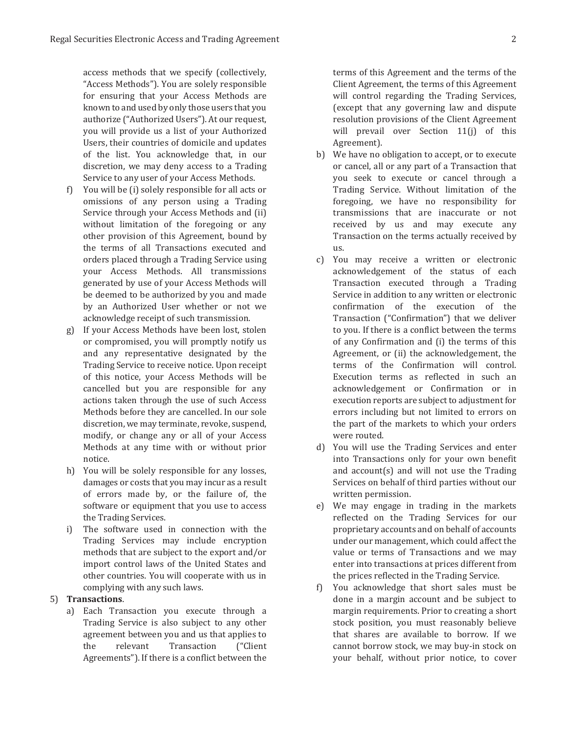access methods that we specify (collectively, "Access Methods"). You are solely responsible for ensuring that your Access Methods are known to and used by only those users that you authorize ("Authorized Users"). At our request, you will provide us a list of your Authorized Users, their countries of domicile and updates of the list. You acknowledge that, in our discretion, we may deny access to a Trading Service to any user of your Access Methods.

- f) You will be (i) solely responsible for all acts or omissions of any person using a Trading Service through your Access Methods and (ii) without limitation of the foregoing or any other provision of this Agreement, bound by the terms of all Transactions executed and orders placed through a Trading Service using vour Access Methods. All transmissions generated by use of your Access Methods will be deemed to be authorized by you and made by an Authorized User whether or not we acknowledge receipt of such transmission.
- g) If your Access Methods have been lost, stolen or compromised, you will promptly notify us and any representative designated by the Trading Service to receive notice. Upon receipt of this notice, your Access Methods will be cancelled but you are responsible for any actions taken through the use of such Access Methods before they are cancelled. In our sole discretion, we may terminate, revoke, suspend, modify, or change any or all of your Access Methods at any time with or without prior notice.
- h) You will be solely responsible for any losses. damages or costs that you may incur as a result of errors made by, or the failure of, the software or equipment that you use to access the Trading Services.
- i) The software used in connection with the Trading Services may include encryption methods that are subject to the export and/or import control laws of the United States and other countries. You will cooperate with us in complying with any such laws.

#### 5) **Transactions**.

a) Each Transaction you execute through a Trading Service is also subject to any other agreement between you and us that applies to the relevant Transaction ("Client Agreements"). If there is a conflict between the

terms of this Agreement and the terms of the Client Agreement, the terms of this Agreement will control regarding the Trading Services, (except that any governing law and dispute resolution provisions of the Client Agreement will prevail over Section 11(j) of this Agreement).

- b) We have no obligation to accept, or to execute or cancel, all or any part of a Transaction that you seek to execute or cancel through a Trading Service. Without limitation of the foregoing, we have no responsibility for transmissions that are inaccurate or not received by us and may execute any Transaction on the terms actually received by  $11S$
- c) You may receive a written or electronic acknowledgement of the status of each Transaction executed through a Trading Service in addition to any written or electronic confirmation of the execution of the Transaction ("Confirmation") that we deliver to you. If there is a conflict between the terms of any Confirmation and (i) the terms of this Agreement, or (ii) the acknowledgement, the terms of the Confirmation will control. Execution terms as reflected in such an acknowledgement or Confirmation or in execution reports are subject to adjustment for errors including but not limited to errors on the part of the markets to which your orders were routed.
- d) You will use the Trading Services and enter into Transactions only for your own benefit and account(s) and will not use the Trading Services on behalf of third parties without our written permission.
- e) We may engage in trading in the markets reflected on the Trading Services for our proprietary accounts and on behalf of accounts under our management, which could affect the value or terms of Transactions and we may enter into transactions at prices different from the prices reflected in the Trading Service.
- f) You acknowledge that short sales must be done in a margin account and be subject to margin requirements. Prior to creating a short stock position, you must reasonably believe that shares are available to borrow. If we cannot borrow stock, we may buy-in stock on your behalf, without prior notice, to cover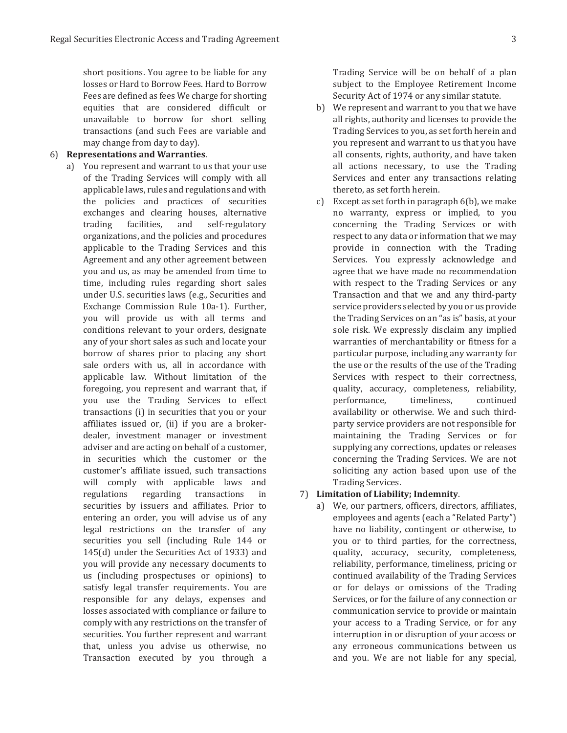short positions. You agree to be liable for any losses or Hard to Borrow Fees. Hard to Borrow Fees are defined as fees We charge for shorting equities that are considered difficult or unavailable to borrow for short selling transactions (and such Fees are variable and may change from day to day).

#### **6** Representations and Warranties.

a) You represent and warrant to us that your use of the Trading Services will comply with all applicable laws, rules and regulations and with the policies and practices of securities exchanges and clearing houses, alternative trading facilities, and self-regulatory organizations, and the policies and procedures applicable to the Trading Services and this Agreement and any other agreement between you and us, as may be amended from time to time, including rules regarding short sales under U.S. securities laws (e.g., Securities and Exchange Commission Rule 10a-1). Further, you will provide us with all terms and conditions relevant to your orders, designate any of your short sales as such and locate your borrow of shares prior to placing any short sale orders with us, all in accordance with applicable law. Without limitation of the foregoing, you represent and warrant that, if you use the Trading Services to effect transactions (i) in securities that you or your affiliates issued or, (ii) if you are a brokerdealer, investment manager or investment adviser and are acting on behalf of a customer, in securities which the customer or the customer's affiliate issued, such transactions will comply with applicable laws and regulations regarding transactions in securities by issuers and affiliates. Prior to entering an order, you will advise us of any legal restrictions on the transfer of any securities you sell (including Rule 144 or 145(d) under the Securities Act of 1933) and you will provide any necessary documents to us (including prospectuses or opinions) to satisfy legal transfer requirements. You are responsible for any delays, expenses and losses associated with compliance or failure to comply with any restrictions on the transfer of securities. You further represent and warrant that, unless you advise us otherwise, no Transaction executed by you through a

Trading Service will be on behalf of a plan subject to the Employee Retirement Income Security Act of 1974 or any similar statute.

- b) We represent and warrant to you that we have all rights, authority and licenses to provide the Trading Services to you, as set forth herein and you represent and warrant to us that you have all consents, rights, authority, and have taken all actions necessary, to use the Trading Services and enter any transactions relating thereto, as set forth herein.
- c) Except as set forth in paragraph 6(b), we make no warranty, express or implied, to you concerning the Trading Services or with respect to any data or information that we may provide in connection with the Trading Services. You expressly acknowledge and agree that we have made no recommendation with respect to the Trading Services or any Transaction and that we and any third-party service providers selected by you or us provide the Trading Services on an "as is" basis, at your sole risk. We expressly disclaim any implied warranties of merchantability or fitness for a particular purpose, including any warranty for the use or the results of the use of the Trading Services with respect to their correctness, quality, accuracy, completeness, reliability, performance, timeliness, continued availability or otherwise. We and such thirdparty service providers are not responsible for maintaining the Trading Services or for supplying any corrections, updates or releases concerning the Trading Services. We are not soliciting any action based upon use of the Trading Services.

#### 7) Limitation of Liability; Indemnity.

a) We, our partners, officers, directors, affiliates, employees and agents (each a "Related Party") have no liability, contingent or otherwise, to you or to third parties, for the correctness, quality, accuracy, security, completeness, reliability, performance, timeliness, pricing or continued availability of the Trading Services or for delays or omissions of the Trading Services, or for the failure of any connection or communication service to provide or maintain your access to a Trading Service, or for any interruption in or disruption of your access or any erroneous communications between us and you. We are not liable for any special,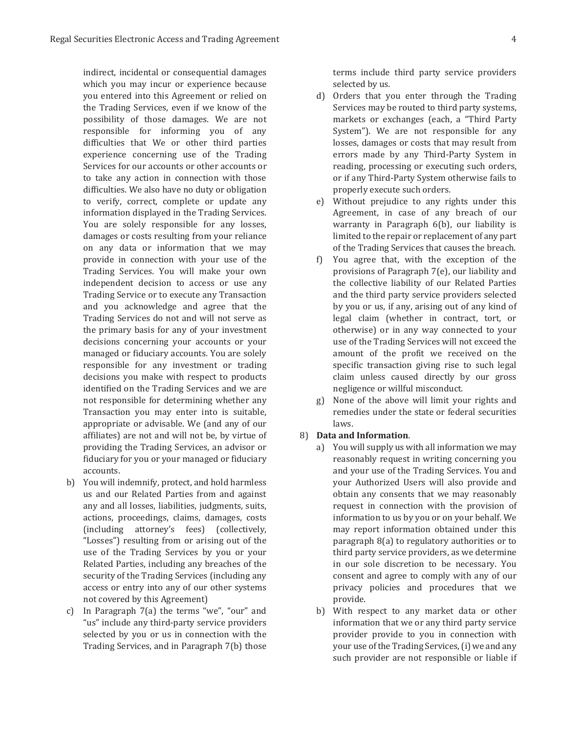indirect, incidental or consequential damages which you may incur or experience because you entered into this Agreement or relied on the Trading Services, even if we know of the possibility of those damages. We are not responsible for informing you of any difficulties that We or other third parties experience concerning use of the Trading Services for our accounts or other accounts or to take any action in connection with those difficulties. We also have no duty or obligation to verify, correct, complete or update any information displayed in the Trading Services. You are solely responsible for any losses, damages or costs resulting from your reliance on any data or information that we may provide in connection with your use of the Trading Services. You will make your own independent decision to access or use any Trading Service or to execute any Transaction and you acknowledge and agree that the Trading Services do not and will not serve as the primary basis for any of your investment decisions concerning your accounts or your managed or fiduciary accounts. You are solely responsible for any investment or trading decisions you make with respect to products identified on the Trading Services and we are not responsible for determining whether any Transaction you may enter into is suitable, appropriate or advisable. We (and any of our affiliates) are not and will not be, by virtue of providing the Trading Services, an advisor or fiduciary for you or your managed or fiduciary accounts.

- b) You will indemnify, protect, and hold harmless us and our Related Parties from and against any and all losses, liabilities, judgments, suits, actions, proceedings, claims, damages, costs (including attorney's fees) (collectively, "Losses") resulting from or arising out of the use of the Trading Services by you or your Related Parties, including any breaches of the security of the Trading Services (including any access or entry into any of our other systems not covered by this Agreement)
- c) In Paragraph  $7(a)$  the terms "we", "our" and "us" include any third-party service providers selected by you or us in connection with the Trading Services, and in Paragraph 7(b) those

terms include third party service providers selected by us.

- d) Orders that you enter through the Trading Services may be routed to third party systems, markets or exchanges (each, a "Third Party System"). We are not responsible for any losses, damages or costs that may result from errors made by any Third-Party System in reading, processing or executing such orders, or if any Third-Party System otherwise fails to properly execute such orders.
- e) Without prejudice to any rights under this Agreement, in case of any breach of our warranty in Paragraph 6(b), our liability is limited to the repair or replacement of any part of the Trading Services that causes the breach.
- f) You agree that, with the exception of the provisions of Paragraph 7(e), our liability and the collective liability of our Related Parties and the third party service providers selected by you or us, if any, arising out of any kind of legal claim (whether in contract, tort, or otherwise) or in any way connected to your use of the Trading Services will not exceed the amount of the profit we received on the specific transaction giving rise to such legal claim unless caused directly by our gross negligence or willful misconduct.
- g) None of the above will limit your rights and remedies under the state or federal securities laws

#### 8) Data and Information.

- a) You will supply us with all information we may reasonably request in writing concerning you and your use of the Trading Services. You and your Authorized Users will also provide and obtain any consents that we may reasonably request in connection with the provision of information to us by you or on your behalf. We may report information obtained under this paragraph 8(a) to regulatory authorities or to third party service providers, as we determine in our sole discretion to be necessary. You consent and agree to comply with any of our privacy policies and procedures that we provide.
- b) With respect to any market data or other information that we or any third party service provider provide to you in connection with your use of the Trading Services, (i) we and any such provider are not responsible or liable if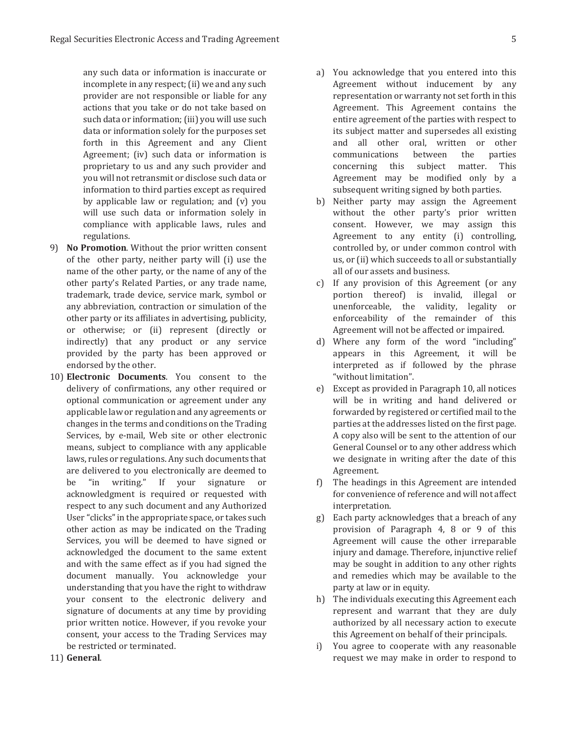any such data or information is inaccurate or incomplete in any respect; (ii) we and any such provider are not responsible or liable for any actions that you take or do not take based on such data or information; (iii) you will use such data or information solely for the purposes set forth in this Agreement and any Client Agreement; (iv) such data or information is proprietary to us and any such provider and you will not retransmit or disclose such data or information to third parties except as required by applicable law or regulation; and (v) you will use such data or information solely in compliance with applicable laws, rules and regulations.

- 9) **No Promotion**. Without the prior written consent of the other party, neither party will (i) use the name of the other party, or the name of any of the other party's Related Parties, or any trade name, trademark, trade device, service mark, symbol or any abbreviation, contraction or simulation of the other party or its affiliates in advertising, publicity, or otherwise; or (ii) represent (directly or indirectly) that any product or any service provided by the party has been approved or endorsed by the other.
- 10) **Electronic Documents**. You consent to the delivery of confirmations, any other required or optional communication or agreement under any applicable law or regulation and any agreements or changes in the terms and conditions on the Trading Services, by e-mail, Web site or other electronic means, subject to compliance with any applicable laws, rules or regulations. Any such documents that are delivered to you electronically are deemed to be "in writing." If your signature or acknowledgment is required or requested with respect to any such document and any Authorized User "clicks" in the appropriate space, or takes such other action as may be indicated on the Trading Services, you will be deemed to have signed or acknowledged the document to the same extent and with the same effect as if you had signed the document manually. You acknowledge your understanding that you have the right to withdraw your consent to the electronic delivery and signature of documents at any time by providing prior written notice. However, if you revoke your consent, your access to the Trading Services may be restricted or terminated.
- a) You acknowledge that you entered into this Agreement without inducement by any representation or warranty not set forth in this Agreement. This Agreement contains the entire agreement of the parties with respect to its subject matter and supersedes all existing and all other oral, written or other communications between the parties concerning this subject matter. This Agreement may be modified only by a subsequent writing signed by both parties.
- b) Neither party may assign the Agreement without the other party's prior written consent. However, we may assign this Agreement to any entity (i) controlling, controlled by, or under common control with us, or (ii) which succeeds to all or substantially all of our assets and business.
- c) If any provision of this Agreement (or any portion thereof) is invalid, illegal or unenforceable, the validity, legality or enforceability of the remainder of this Agreement will not be affected or impaired.
- d) Where any form of the word "including" appears in this Agreement, it will be interpreted as if followed by the phrase "without limitation".
- e) Except as provided in Paragraph 10, all notices will be in writing and hand delivered or forwarded by registered or certified mail to the parties at the addresses listed on the first page. A copy also will be sent to the attention of our General Counsel or to any other address which we designate in writing after the date of this Agreement.
- f) The headings in this Agreement are intended for convenience of reference and will not affect interpretation.
- g) Each party acknowledges that a breach of any provision of Paragraph 4, 8 or 9 of this Agreement will cause the other irreparable injury and damage. Therefore, injunctive relief may be sought in addition to any other rights and remedies which may be available to the party at law or in equity.
- h) The individuals executing this Agreement each represent and warrant that they are duly authorized by all necessary action to execute this Agreement on behalf of their principals.
- i) You agree to cooperate with any reasonable request we may make in order to respond to

11) General.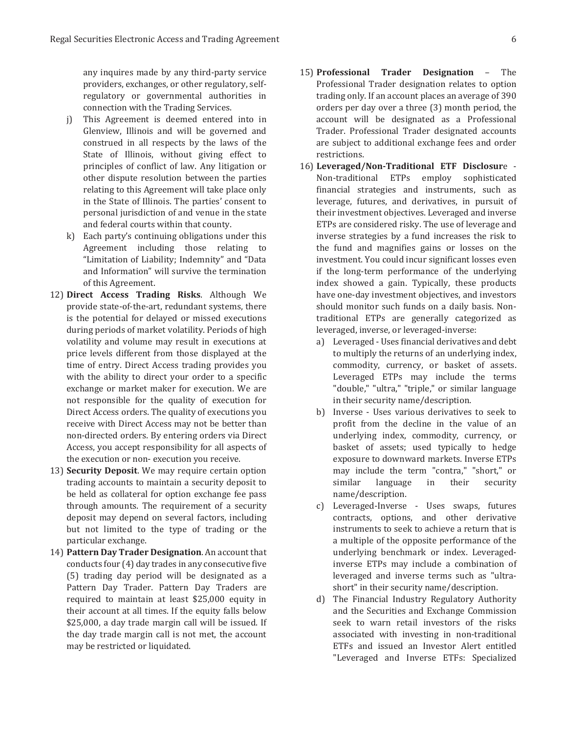any inquires made by any third-party service providers, exchanges, or other regulatory, selfregulatory or governmental authorities in connection with the Trading Services.

- i) This Agreement is deemed entered into in Glenview, Illinois and will be governed and construed in all respects by the laws of the State of Illinois, without giving effect to principles of conflict of law. Any litigation or other dispute resolution between the parties relating to this Agreement will take place only in the State of Illinois. The parties' consent to personal jurisdiction of and venue in the state and federal courts within that county.
- k) Each party's continuing obligations under this Agreement including those relating to "Limitation of Liability; Indemnity" and "Data and Information" will survive the termination of this Agreement.
- 12) Direct Access Trading Risks. Although We provide state-of-the-art, redundant systems, there is the potential for delayed or missed executions during periods of market volatility. Periods of high volatility and volume may result in executions at price levels different from those displayed at the time of entry. Direct Access trading provides you with the ability to direct your order to a specific exchange or market maker for execution. We are not responsible for the quality of execution for Direct Access orders. The quality of executions you receive with Direct Access may not be better than non-directed orders. By entering orders via Direct Access, you accept responsibility for all aspects of the execution or non-execution you receive.
- 13) **Security Deposit**. We may require certain option trading accounts to maintain a security deposit to be held as collateral for option exchange fee pass through amounts. The requirement of a security deposit may depend on several factors, including but not limited to the type of trading or the particular exchange.
- 14) **Pattern Day Trader Designation**. An account that conducts four (4) day trades in any consecutive five (5) trading day period will be designated as a Pattern Day Trader. Pattern Day Traders are required to maintain at least \$25,000 equity in their account at all times. If the equity falls below \$25,000, a day trade margin call will be issued. If the day trade margin call is not met, the account may be restricted or liquidated.
- 15) **Professional Trader Designation** The Professional Trader designation relates to option trading only. If an account places an average of 390 orders per day over a three (3) month period, the account will be designated as a Professional Trader. Professional Trader designated accounts are subject to additional exchange fees and order restrictions.
- 16) Leveraged/Non-Traditional ETF Disclosure -Non-traditional ETPs employ sophisticated financial strategies and instruments, such as leverage, futures, and derivatives, in pursuit of their investment objectives. Leveraged and inverse ETPs are considered risky. The use of leverage and inverse strategies by a fund increases the risk to the fund and magnifies gains or losses on the investment. You could incur significant losses even if the long-term performance of the underlying index showed a gain. Typically, these products have one-day investment objectives, and investors should monitor such funds on a daily basis. Nontraditional ETPs are generally categorized as leveraged, inverse, or leveraged-inverse:
	- a) Leveraged Uses financial derivatives and debt to multiply the returns of an underlying index, commodity, currency, or basket of assets. Leveraged ETPs may include the terms "double," "ultra," "triple," or similar language in their security name/description.
	- b) Inverse Uses various derivatives to seek to profit from the decline in the value of an underlying index, commodity, currency, or basket of assets; used typically to hedge exposure to downward markets. Inverse ETPs may include the term "contra," "short," or similar language in their security name/description.
	- c) Leveraged-Inverse Uses swaps, futures contracts, options, and other derivative instruments to seek to achieve a return that is a multiple of the opposite performance of the underlying benchmark or index. Leveragedinverse ETPs may include a combination of leveraged and inverse terms such as "ultrashort" in their security name/description.
	- d) The Financial Industry Regulatory Authority and the Securities and Exchange Commission seek to warn retail investors of the risks associated with investing in non-traditional ETFs and issued an Investor Alert entitled "Leveraged and Inverse ETFs: Specialized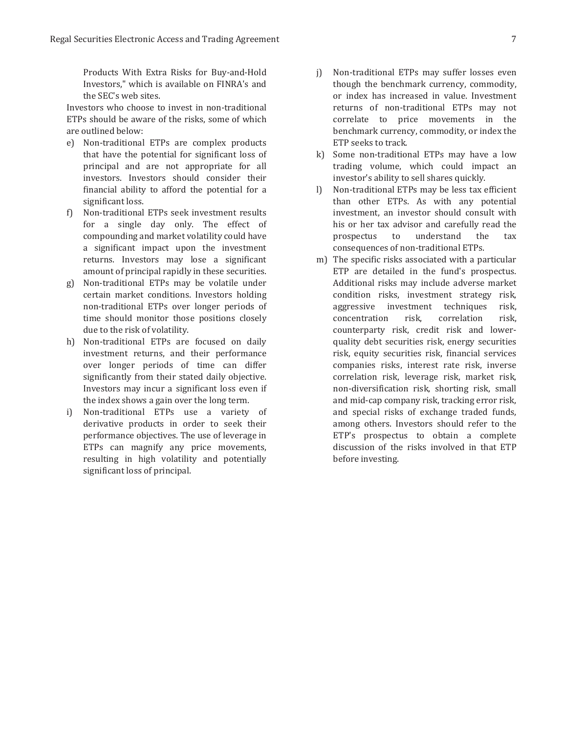Products With Extra Risks for Buy-and-Hold Investors," which is available on FINRA's and the SEC's web sites.

Investors who choose to invest in non-traditional ETPs should be aware of the risks, some of which are outlined below:

- e) Non-traditional ETPs are complex products that have the potential for significant loss of principal and are not appropriate for all investors. Investors should consider their financial ability to afford the potential for a significant loss.
- f) Non-traditional ETPs seek investment results for a single day only. The effect of compounding and market volatility could have a significant impact upon the investment returns. Investors may lose a significant amount of principal rapidly in these securities.
- g) Non-traditional ETPs may be volatile under certain market conditions. Investors holding non-traditional ETPs over longer periods of time should monitor those positions closely due to the risk of volatility.
- h) Non-traditional ETPs are focused on daily investment returns, and their performance over longer periods of time can differ significantly from their stated daily objective. Investors may incur a significant loss even if the index shows a gain over the long term.
- i) Non-traditional ETPs use a variety of derivative products in order to seek their performance objectives. The use of leverage in ETPs can magnify any price movements, resulting in high volatility and potentially significant loss of principal.
- j) Non-traditional ETPs may suffer losses even though the benchmark currency, commodity, or index has increased in value. Investment returns of non-traditional ETPs may not correlate to price movements in the benchmark currency, commodity, or index the ETP seeks to track.
- k) Some non-traditional ETPs may have a low trading volume, which could impact an investor's ability to sell shares quickly.
- I) Non-traditional ETPs may be less tax efficient than other ETPs. As with any potential investment, an investor should consult with his or her tax advisor and carefully read the prospectus to understand the tax consequences of non-traditional ETPs.
- m) The specific risks associated with a particular ETP are detailed in the fund's prospectus. Additional risks may include adverse market condition risks, investment strategy risk, aggressive investment techniques risk, concentration risk, correlation risk, counterparty risk, credit risk and lowerquality debt securities risk, energy securities risk, equity securities risk, financial services companies risks, interest rate risk, inverse correlation risk, leverage risk, market risk, non-diversification risk, shorting risk, small and mid-cap company risk, tracking error risk, and special risks of exchange traded funds, among others. Investors should refer to the ETP's prospectus to obtain a complete discussion of the risks involved in that ETP before investing.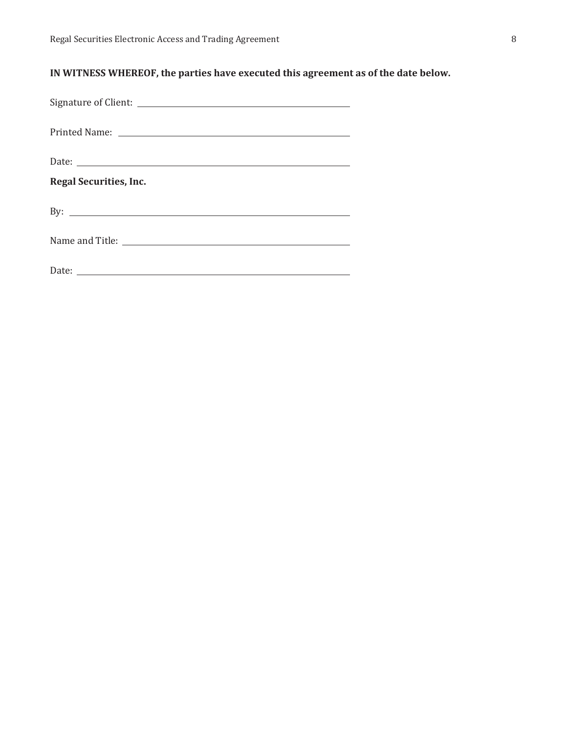## **IN WITNESS WHEREOF, the parties have executed this agreement as of the date below.**

| <b>Regal Securities, Inc.</b>   |
|---------------------------------|
| By: $\overline{\phantom{a}}$    |
| Name and Title: Name and Title: |
|                                 |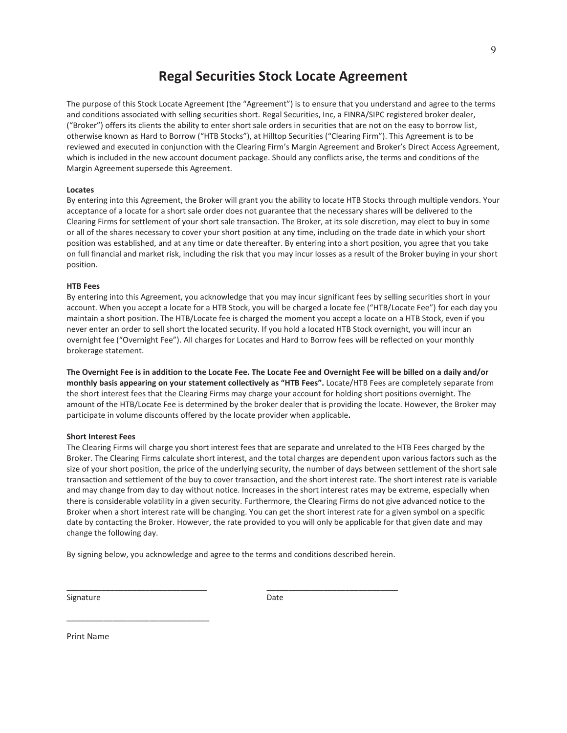## **Regal Securities Stock Locate Agreement**

The purpose of this Stock Locate Agreement (the "Agreement") is to ensure that you understand and agree to the terms and conditions associated with selling securities short. Regal Securities, Inc, a FINRA/SIPC registered broker dealer, ("Broker") offers its clients the ability to enter short sale orders in securities that are not on the easy to borrow list, otherwise known as Hard to Borrow ("HTB Stocks"), at Hilltop Securities ("Clearing Firm"). This Agreement is to be reviewed and executed in conjunction with the Clearing Firm's Margin Agreement and Broker's Direct Access Agreement, which is included in the new account document package. Should any conflicts arise, the terms and conditions of the Margin Agreement supersede this Agreement.

#### **Locates**

By entering into this Agreement, the Broker will grant you the ability to locate HTB Stocks through multiple vendors. Your acceptance of a locate for a short sale order does not guarantee that the necessary shares will be delivered to the Clearing Firms for settlement of your short sale transaction. The Broker, at its sole discretion, may elect to buy in some or all of the shares necessary to cover your short position at any time, including on the trade date in which your short position was established, and at any time or date thereafter. By entering into a short position, you agree that you take on full financial and market risk, including the risk that you may incur losses as a result of the Broker buying in your short position.

#### **HTB Fees**

By entering into this Agreement, you acknowledge that you may incur significant fees by selling securities short in your account. When you accept a locate for a HTB Stock, you will be charged a locate fee ("HTB/Locate Fee") for each day you maintain a short position. The HTB/Locate fee is charged the moment you accept a locate on a HTB Stock, even if you never enter an order to sell short the located security. If you hold a located HTB Stock overnight, you will incur an overnight fee ("Overnight Fee"). All charges for Locates and Hard to Borrow fees will be reflected on your monthly brokerage statement.

**The Overnight Fee is in addition to the Locate Fee. The Locate Fee and Overnight Fee will be billed on a daily and/or monthly basis appearing on your statement collectively as "HTB Fees".** Locate/HTB Fees are completely separate from the short interest fees that the Clearing Firms may charge your account for holding short positions overnight. The amount of the HTB/Locate Fee is determined by the broker dealer that is providing the locate. However, the Broker may participate in volume discounts offered by the locate provider when applicable**.** 

#### **Short Interest Fees**

The Clearing Firms will charge you short interest fees that are separate and unrelated to the HTB Fees charged by the Broker. The Clearing Firms calculate short interest, and the total charges are dependent upon various factors such as the size of your short position, the price of the underlying security, the number of days between settlement of the short sale transaction and settlement of the buy to cover transaction, and the short interest rate. The short interest rate is variable and may change from day to day without notice. Increases in the short interest rates may be extreme, especially when there is considerable volatility in a given security. Furthermore, the Clearing Firms do not give advanced notice to the Broker when a short interest rate will be changing. You can get the short interest rate for a given symbol on a specific date by contacting the Broker. However, the rate provided to you will only be applicable for that given date and may change the following day.

By signing below, you acknowledge and agree to the terms and conditions described herein.

\_\_\_\_\_\_\_\_\_\_\_\_\_\_\_\_\_\_\_\_\_\_\_\_\_\_\_\_\_\_\_\_ \_\_\_\_\_\_\_\_\_\_\_\_\_\_\_\_\_\_\_\_\_\_\_\_\_\_\_\_\_\_

Signature Date

Print Name

\_\_\_\_\_\_\_\_\_\_\_\_\_\_\_\_\_\_\_\_\_\_\_\_\_\_\_\_\_\_\_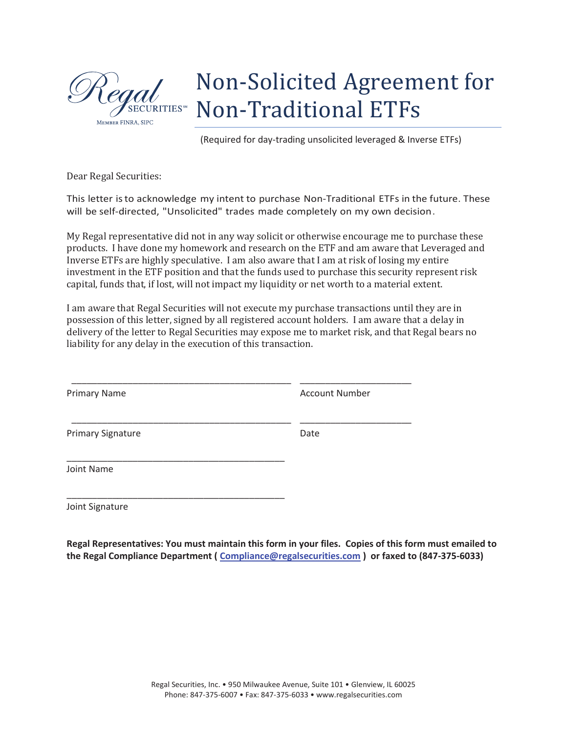

# Non-Solicited Agreement for Non-Traditional ETFs

(Required for day-trading unsolicited leveraged & Inverse ETFs)

Dear Regal Securities:

This letter is to acknowledge my intent to purchase Non-Traditional ETFs in the future. These will be self-directed, "Unsolicited" trades made completely on my own decision.

My Regal representative did not in any way solicit or otherwise encourage me to purchase these products. I have done my homework and research on the ETF and am aware that Leveraged and Inverse ETFs are highly speculative. I am also aware that I am at risk of losing my entire investment in the ETF position and that the funds used to purchase this security represent risk capital, funds that, if lost, will not impact my liquidity or net worth to a material extent.

I am aware that Regal Securities will not execute my purchase transactions until they are in possession of this letter, signed by all registered account holders. I am aware that a delay in delivery of the letter to Regal Securities may expose me to market risk, and that Regal bears no liability for any delay in the execution of this transaction.

 \_\_\_\_\_\_\_\_\_\_\_\_\_\_\_\_\_\_\_\_\_\_\_\_\_\_\_\_\_\_\_\_\_\_\_\_\_\_\_\_\_\_\_ \_\_\_\_\_\_\_\_\_\_\_\_\_\_\_\_\_\_\_\_\_\_ Primary Name **Account Number** Account Number \_\_\_\_\_\_\_\_\_\_\_\_\_\_\_\_\_\_\_\_\_\_\_\_\_\_\_\_\_\_\_\_\_\_\_\_\_\_\_\_\_\_\_ \_\_\_\_\_\_\_\_\_\_\_\_\_\_\_\_\_\_\_\_\_\_ Primary Signature Date \_\_\_\_\_\_\_\_\_\_\_\_\_\_\_\_\_\_\_\_\_\_\_\_\_\_\_\_\_\_\_\_\_\_\_\_\_\_\_\_\_\_\_ Joint Name \_\_\_\_\_\_\_\_\_\_\_\_\_\_\_\_\_\_\_\_\_\_\_\_\_\_\_\_\_\_\_\_\_\_\_\_\_\_\_\_\_\_\_ Joint Signature

**Regal Representatives: You must maintain this form in your files. Copies of this form must emailed to the Regal Compliance Department ( Compliance@regalsecurities.com ) or faxed to (847-375-6033)**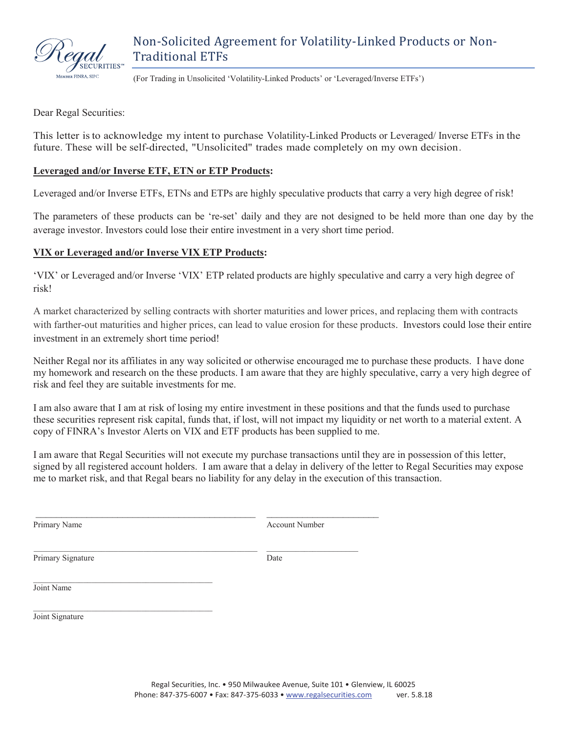

(For Trading in Unsolicited 'Volatility-Linked Products' or 'Leveraged/Inverse ETFs')

Dear Regal Securities:

This letter is to acknowledge my intent to purchase Volatility-Linked Products or Leveraged/ Inverse ETFs in the future. These will be self-directed, "Unsolicited" trades made completely on my own decision.

## **Leveraged and/or Inverse ETF, ETN or ETP Products:**

Leveraged and/or Inverse ETFs, ETNs and ETPs are highly speculative products that carry a very high degree of risk!

The parameters of these products can be 're-set' daily and they are not designed to be held more than one day by the average investor. Investors could lose their entire investment in a very short time period.

## **VIX or Leveraged and/or Inverse VIX ETP Products:**

'VIX' or Leveraged and/or Inverse 'VIX' ETP related products are highly speculative and carry a very high degree of risk!

A market characterized by selling contracts with shorter maturities and lower prices, and replacing them with contracts with farther-out maturities and higher prices, can lead to value erosion for these products. Investors could lose their entire investment in an extremely short time period!

Neither Regal nor its affiliates in any way solicited or otherwise encouraged me to purchase these products. I have done my homework and research on the these products. I am aware that they are highly speculative, carry a very high degree of risk and feel they are suitable investments for me.

I am also aware that I am at risk of losing my entire investment in these positions and that the funds used to purchase these securities represent risk capital, funds that, if lost, will not impact my liquidity or net worth to a material extent. A copy of FINRA's Investor Alerts on VIX and ETF products has been supplied to me.

I am aware that Regal Securities will not execute my purchase transactions until they are in possession of this letter, signed by all registered account holders. I am aware that a delay in delivery of the letter to Regal Securities may expose me to market risk, and that Regal bears no liability for any delay in the execution of this transaction.

Primary Name Account Number

Primary Signature Date

\_\_\_\_\_\_\_\_\_\_\_\_\_\_\_\_\_\_\_\_\_\_\_\_\_\_\_\_\_\_\_\_\_\_\_\_\_\_\_\_\_\_\_ \_\_\_\_\_\_\_\_\_\_\_\_\_\_\_\_\_\_\_\_\_\_

 $\mathcal{L}_\text{max}$  and the contract of the contract of the contract of the contract of the contract of the contract of the contract of the contract of the contract of the contract of the contract of the contract of the contrac Joint Name

Joint Signature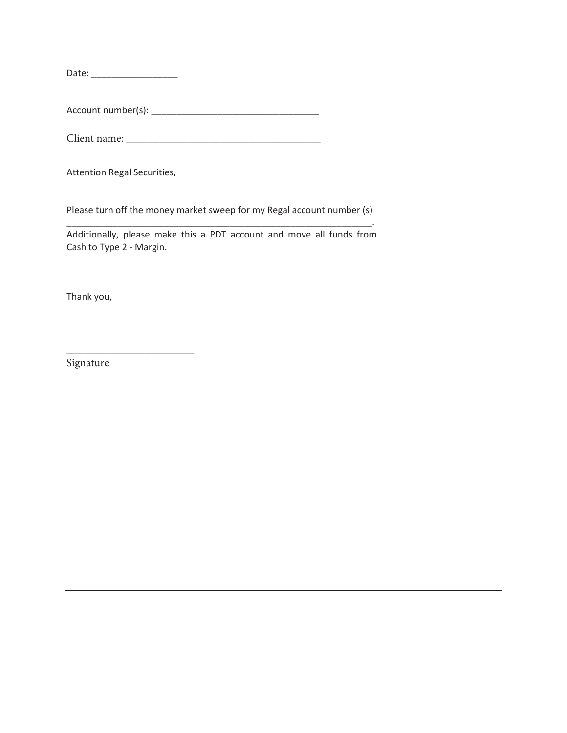Date: ͺͺͺͺͺͺͺͺͺͺͺͺͺͺͺͺͺ

AccountŶƵŵďĞƌ;ƐͿ: ͺͺͺͺͺͺͺͺͺͺͺͺͺͺͺͺͺͺͺͺͺͺ\_\_\_\_\_\_\_\_\_\_\_

 $\frac{M}{\text{Client name:}}$ 

@@@@@@@@@@@@@@@@@@@@@@@

Attention Regal Securities,

Please turn off the money market sweep for my Regal account number (s) ͺͺͺͺͺͺͺͺͺͺͺͺͺͺͺͺͺͺͺͺͺͺ\_\_\_\_\_\_\_\_ͺͺͺͺͺͺͺͺͺͺͺͺͺͺͺͺͺͺͺͺͺͺͺͺ\_\_\_\_\_\_.

Additionally, please make this a PDT account and move all funds from Cash to Type 2 - Margin.

Thank you,

Signature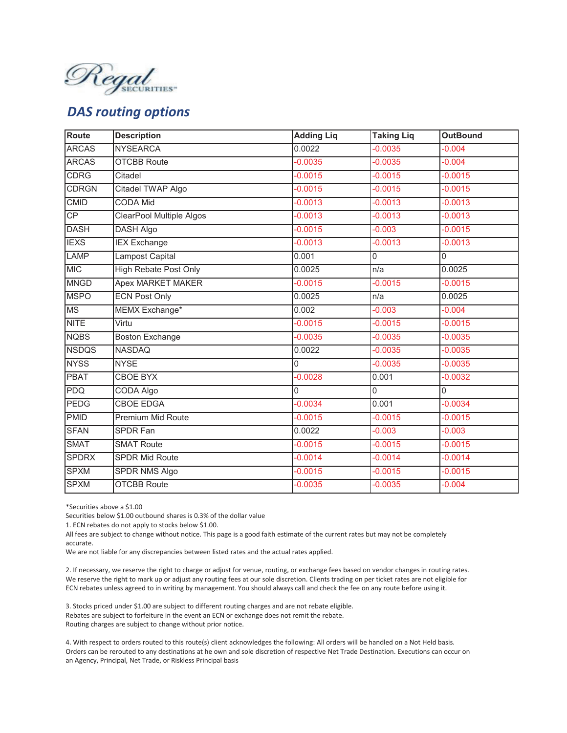

## *DAS routing options*

| Route        | <b>Description</b>              | <b>Adding Liq</b> | <b>Taking Liq</b> | <b>OutBound</b> |
|--------------|---------------------------------|-------------------|-------------------|-----------------|
| <b>ARCAS</b> | <b>NYSEARCA</b>                 | 0.0022            | $-0.0035$         | $-0.004$        |
| <b>ARCAS</b> | <b>OTCBB Route</b>              | $-0.0035$         | $-0.0035$         | $-0.004$        |
| <b>CDRG</b>  | Citadel                         | $-0.0015$         | $-0.0015$         | $-0.0015$       |
| <b>CDRGN</b> | Citadel TWAP Algo               | $-0.0015$         | $-0.0015$         | $-0.0015$       |
| <b>CMID</b>  | <b>CODA Mid</b>                 | $-0.0013$         | $-0.0013$         | $-0.0013$       |
| CP           | <b>ClearPool Multiple Algos</b> | $-0.0013$         | $-0.0013$         | $-0.0013$       |
| <b>DASH</b>  | <b>DASH Algo</b>                | $-0.0015$         | $-0.003$          | $-0.0015$       |
| <b>IEXS</b>  | <b>IEX</b> Exchange             | $-0.0013$         | $-0.0013$         | $-0.0013$       |
| LAMP         | Lampost Capital                 | 0.001             | 0                 | $\overline{0}$  |
| <b>MIC</b>   | <b>High Rebate Post Only</b>    | 0.0025            | n/a               | 0.0025          |
| <b>MNGD</b>  | <b>Apex MARKET MAKER</b>        | $-0.0015$         | $-0.0015$         | $-0.0015$       |
| <b>MSPO</b>  | <b>ECN Post Only</b>            | 0.0025            | n/a               | 0.0025          |
| <b>MS</b>    | MEMX Exchange*                  | 0.002             | $-0.003$          | $-0.004$        |
| <b>NITE</b>  | Virtu                           | $-0.0015$         | $-0.0015$         | $-0.0015$       |
| <b>NQBS</b>  | <b>Boston Exchange</b>          | $-0.0035$         | $-0.0035$         | $-0.0035$       |
| <b>NSDQS</b> | <b>NASDAQ</b>                   | 0.0022            | $-0.0035$         | $-0.0035$       |
| <b>NYSS</b>  | <b>NYSE</b>                     | 0                 | $-0.0035$         | $-0.0035$       |
| <b>PBAT</b>  | <b>CBOE BYX</b>                 | $-0.0028$         | 0.001             | $-0.0032$       |
| PDQ          | <b>CODA Algo</b>                | 0                 | $\overline{0}$    | $\overline{0}$  |
| <b>PEDG</b>  | <b>CBOE EDGA</b>                | $-0.0034$         | 0.001             | $-0.0034$       |
| <b>PMID</b>  | Premium Mid Route               | $-0.0015$         | $-0.0015$         | $-0.0015$       |
| <b>SFAN</b>  | <b>SPDR Fan</b>                 | 0.0022            | $-0.003$          | $-0.003$        |
| <b>SMAT</b>  | <b>SMAT Route</b>               | $-0.0015$         | $-0.0015$         | $-0.0015$       |
| <b>SPDRX</b> | <b>SPDR Mid Route</b>           | $-0.0014$         | $-0.0014$         | $-0.0014$       |
| <b>SPXM</b>  | <b>SPDR NMS Algo</b>            | $-0.0015$         | $-0.0015$         | $-0.0015$       |
| <b>SPXM</b>  | <b>OTCBB Route</b>              | $-0.0035$         | $-0.0035$         | $-0.004$        |

\*Securities above a \$1.00

Securities below \$1.00 outbound shares is 0.3% of the dollar value

1. ECN rebates do not apply to stocks below \$1.00.

All fees are subject to change without notice. This page is a good faith estimate of the current rates but may not be completely accurate.

We are not liable for any discrepancies between listed rates and the actual rates applied.

2. If necessary, we reserve the right to charge or adjust for venue, routing, or exchange fees based on vendor changes in routing rates. We reserve the right to mark up or adjust any routing fees at our sole discretion. Clients trading on per ticket rates are not eligible for ECN rebates unless agreed to in writing by management. You should always call and check the fee on any route before using it.

3. Stocks priced under \$1.00 are subject to different routing charges and are not rebate eligible. Rebates are subject to forfeiture in the event an ECN or exchange does not remit the rebate. Routing charges are subject to change without prior notice.

4. With respect to orders routed to this route(s) client acknowledges the following: All orders will be handled on a Not Held basis. Orders can be rerouted to any destinations at he own and sole discretion of respective Net Trade Destination. Executions can occur on an Agency, Principal, Net Trade, or Riskless Principal basis